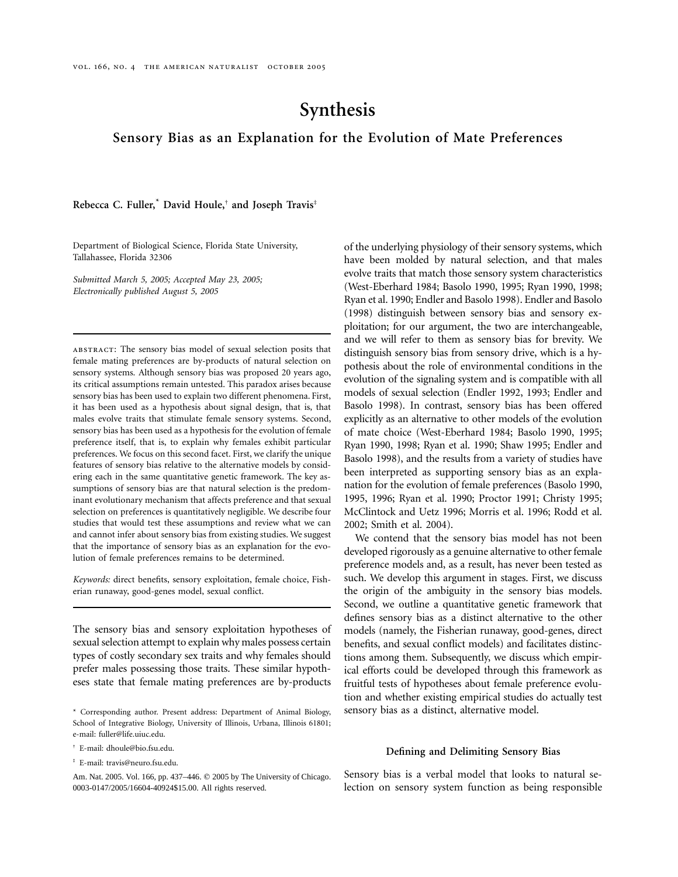# **Synthesis**

## **Sensory Bias as an Explanation for the Evolution of Mate Preferences**

**Rebecca C. Fuller,**\* **David Houle,**† **and Joseph Travis**‡

Department of Biological Science, Florida State University, Tallahassee, Florida 32306

*Submitted March 5, 2005; Accepted May 23, 2005; Electronically published August 5, 2005*

abstract: The sensory bias model of sexual selection posits that female mating preferences are by-products of natural selection on sensory systems. Although sensory bias was proposed 20 years ago, its critical assumptions remain untested. This paradox arises because sensory bias has been used to explain two different phenomena. First, it has been used as a hypothesis about signal design, that is, that males evolve traits that stimulate female sensory systems. Second, sensory bias has been used as a hypothesis for the evolution of female preference itself, that is, to explain why females exhibit particular preferences. We focus on this second facet. First, we clarify the unique features of sensory bias relative to the alternative models by considering each in the same quantitative genetic framework. The key assumptions of sensory bias are that natural selection is the predominant evolutionary mechanism that affects preference and that sexual selection on preferences is quantitatively negligible. We describe four studies that would test these assumptions and review what we can and cannot infer about sensory bias from existing studies. We suggest that the importance of sensory bias as an explanation for the evolution of female preferences remains to be determined.

*Keywords:* direct benefits, sensory exploitation, female choice, Fisherian runaway, good-genes model, sexual conflict.

The sensory bias and sensory exploitation hypotheses of sexual selection attempt to explain why males possess certain types of costly secondary sex traits and why females should prefer males possessing those traits. These similar hypotheses state that female mating preferences are by-products

- † E-mail: dhoule@bio.fsu.edu.
- ‡ E-mail: travis@neuro.fsu.edu.

of the underlying physiology of their sensory systems, which have been molded by natural selection, and that males evolve traits that match those sensory system characteristics (West-Eberhard 1984; Basolo 1990, 1995; Ryan 1990, 1998; Ryan et al. 1990; Endler and Basolo 1998). Endler and Basolo (1998) distinguish between sensory bias and sensory exploitation; for our argument, the two are interchangeable, and we will refer to them as sensory bias for brevity. We distinguish sensory bias from sensory drive, which is a hypothesis about the role of environmental conditions in the evolution of the signaling system and is compatible with all models of sexual selection (Endler 1992, 1993; Endler and Basolo 1998). In contrast, sensory bias has been offered explicitly as an alternative to other models of the evolution of mate choice (West-Eberhard 1984; Basolo 1990, 1995; Ryan 1990, 1998; Ryan et al. 1990; Shaw 1995; Endler and Basolo 1998), and the results from a variety of studies have been interpreted as supporting sensory bias as an explanation for the evolution of female preferences (Basolo 1990, 1995, 1996; Ryan et al. 1990; Proctor 1991; Christy 1995; McClintock and Uetz 1996; Morris et al. 1996; Rodd et al. 2002; Smith et al. 2004).

We contend that the sensory bias model has not been developed rigorously as a genuine alternative to other female preference models and, as a result, has never been tested as such. We develop this argument in stages. First, we discuss the origin of the ambiguity in the sensory bias models. Second, we outline a quantitative genetic framework that defines sensory bias as a distinct alternative to the other models (namely, the Fisherian runaway, good-genes, direct benefits, and sexual conflict models) and facilitates distinctions among them. Subsequently, we discuss which empirical efforts could be developed through this framework as fruitful tests of hypotheses about female preference evolution and whether existing empirical studies do actually test sensory bias as a distinct, alternative model.

#### **Defining and Delimiting Sensory Bias**

Sensory bias is a verbal model that looks to natural selection on sensory system function as being responsible

<sup>\*</sup> Corresponding author. Present address: Department of Animal Biology, School of Integrative Biology, University of Illinois, Urbana, Illinois 61801; e-mail: fuller@life.uiuc.edu.

Am. Nat. 2005. Vol. 166, pp. 437–446. © 2005 by The University of Chicago. 0003-0147/2005/16604-40924\$15.00. All rights reserved.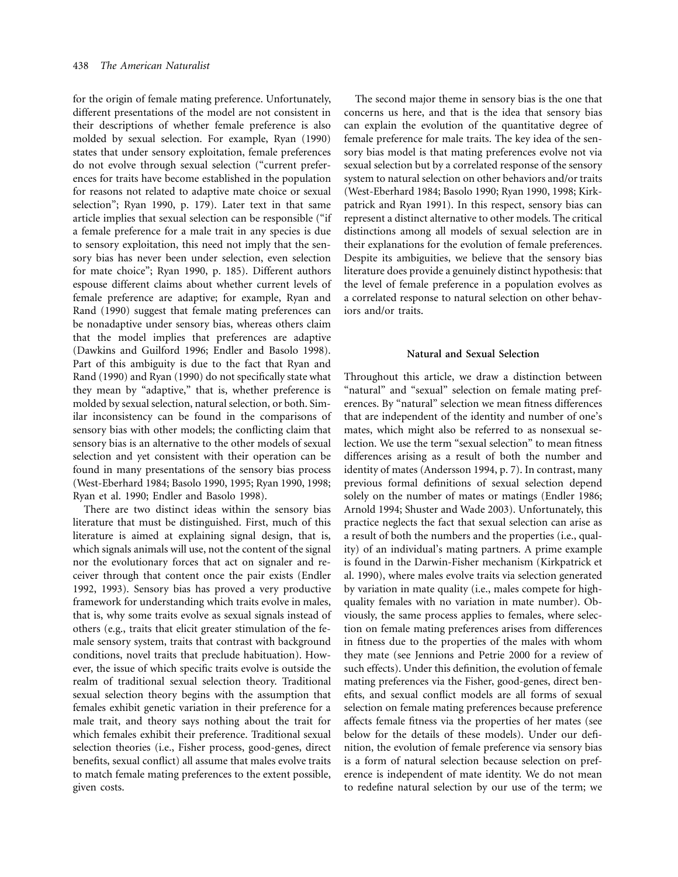for the origin of female mating preference. Unfortunately, different presentations of the model are not consistent in their descriptions of whether female preference is also molded by sexual selection. For example, Ryan (1990) states that under sensory exploitation, female preferences do not evolve through sexual selection ("current preferences for traits have become established in the population for reasons not related to adaptive mate choice or sexual selection"; Ryan 1990, p. 179). Later text in that same article implies that sexual selection can be responsible ("if a female preference for a male trait in any species is due to sensory exploitation, this need not imply that the sensory bias has never been under selection, even selection for mate choice"; Ryan 1990, p. 185). Different authors espouse different claims about whether current levels of female preference are adaptive; for example, Ryan and Rand (1990) suggest that female mating preferences can be nonadaptive under sensory bias, whereas others claim that the model implies that preferences are adaptive (Dawkins and Guilford 1996; Endler and Basolo 1998). Part of this ambiguity is due to the fact that Ryan and Rand (1990) and Ryan (1990) do not specifically state what they mean by "adaptive," that is, whether preference is molded by sexual selection, natural selection, or both. Similar inconsistency can be found in the comparisons of sensory bias with other models; the conflicting claim that sensory bias is an alternative to the other models of sexual selection and yet consistent with their operation can be found in many presentations of the sensory bias process (West-Eberhard 1984; Basolo 1990, 1995; Ryan 1990, 1998; Ryan et al. 1990; Endler and Basolo 1998).

There are two distinct ideas within the sensory bias literature that must be distinguished. First, much of this literature is aimed at explaining signal design, that is, which signals animals will use, not the content of the signal nor the evolutionary forces that act on signaler and receiver through that content once the pair exists (Endler 1992, 1993). Sensory bias has proved a very productive framework for understanding which traits evolve in males, that is, why some traits evolve as sexual signals instead of others (e.g., traits that elicit greater stimulation of the female sensory system, traits that contrast with background conditions, novel traits that preclude habituation). However, the issue of which specific traits evolve is outside the realm of traditional sexual selection theory. Traditional sexual selection theory begins with the assumption that females exhibit genetic variation in their preference for a male trait, and theory says nothing about the trait for which females exhibit their preference. Traditional sexual selection theories (i.e., Fisher process, good-genes, direct benefits, sexual conflict) all assume that males evolve traits to match female mating preferences to the extent possible, given costs.

The second major theme in sensory bias is the one that concerns us here, and that is the idea that sensory bias can explain the evolution of the quantitative degree of female preference for male traits. The key idea of the sensory bias model is that mating preferences evolve not via sexual selection but by a correlated response of the sensory system to natural selection on other behaviors and/or traits (West-Eberhard 1984; Basolo 1990; Ryan 1990, 1998; Kirkpatrick and Ryan 1991). In this respect, sensory bias can represent a distinct alternative to other models. The critical distinctions among all models of sexual selection are in their explanations for the evolution of female preferences. Despite its ambiguities, we believe that the sensory bias literature does provide a genuinely distinct hypothesis: that the level of female preference in a population evolves as a correlated response to natural selection on other behaviors and/or traits.

### **Natural and Sexual Selection**

Throughout this article, we draw a distinction between "natural" and "sexual" selection on female mating preferences. By "natural" selection we mean fitness differences that are independent of the identity and number of one's mates, which might also be referred to as nonsexual selection. We use the term "sexual selection" to mean fitness differences arising as a result of both the number and identity of mates (Andersson 1994, p. 7). In contrast, many previous formal definitions of sexual selection depend solely on the number of mates or matings (Endler 1986; Arnold 1994; Shuster and Wade 2003). Unfortunately, this practice neglects the fact that sexual selection can arise as a result of both the numbers and the properties (i.e., quality) of an individual's mating partners. A prime example is found in the Darwin-Fisher mechanism (Kirkpatrick et al. 1990), where males evolve traits via selection generated by variation in mate quality (i.e., males compete for highquality females with no variation in mate number). Obviously, the same process applies to females, where selection on female mating preferences arises from differences in fitness due to the properties of the males with whom they mate (see Jennions and Petrie 2000 for a review of such effects). Under this definition, the evolution of female mating preferences via the Fisher, good-genes, direct benefits, and sexual conflict models are all forms of sexual selection on female mating preferences because preference affects female fitness via the properties of her mates (see below for the details of these models). Under our definition, the evolution of female preference via sensory bias is a form of natural selection because selection on preference is independent of mate identity. We do not mean to redefine natural selection by our use of the term; we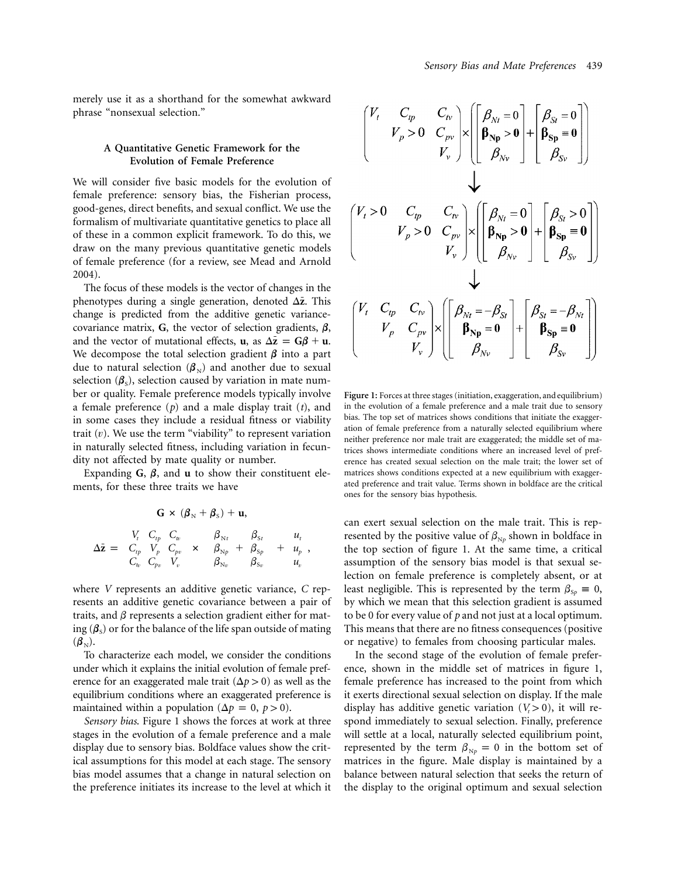merely use it as a shorthand for the somewhat awkward phrase "nonsexual selection."

## **A Quantitative Genetic Framework for the Evolution of Female Preference**

We will consider five basic models for the evolution of female preference: sensory bias, the Fisherian process, good-genes, direct benefits, and sexual conflict. We use the formalism of multivariate quantitative genetics to place all of these in a common explicit framework. To do this, we draw on the many previous quantitative genetic models of female preference (for a review, see Mead and Arnold 2004).

The focus of these models is the vector of changes in the phenotypes during a single generation, denoted  $\Delta \bar{z}$ . This change is predicted from the additive genetic variancecovariance matrix,  $G$ , the vector of selection gradients,  $\beta$ , and the vector of mutational effects, **u**, as  $\Delta \bar{z} = G\beta + u$ . We decompose the total selection gradient  $\beta$  into a part due to natural selection  $(\beta_{N})$  and another due to sexual selection ( $\beta_s$ ), selection caused by variation in mate number or quality. Female preference models typically involve a female preference (*p*) and a male display trait (*t*), and in some cases they include a residual fitness or viability trait  $(v)$ . We use the term "viability" to represent variation in naturally selected fitness, including variation in fecundity not affected by mate quality or number.

Expanding  $\mathbf{G}$ ,  $\boldsymbol{\beta}$ , and **u** to show their constituent elements, for these three traits we have

$$
\mathbf{G} \times (\boldsymbol{\beta}_{\mathrm{N}} + \boldsymbol{\beta}_{\mathrm{S}}) + \mathbf{u},
$$
  

$$
\Delta \bar{\mathbf{z}} = \begin{pmatrix} V_t & C_{tp} & C_w \\ C_{tp} & V_p & C_{pv} \\ C_w & C_{pv} & V_v \end{pmatrix} \times \begin{pmatrix} \beta_{\mathrm{N}t} \\ \beta_{\mathrm{N}p} \\ \beta_{\mathrm{N}p} \end{pmatrix} + \begin{bmatrix} \beta_{\mathrm{S}t} \\ \beta_{\mathrm{S}p} \\ \beta_{\mathrm{S}v} \end{bmatrix} + \begin{bmatrix} u_t \\ u_p \\ u_v \end{bmatrix},
$$

where *V* represents an additive genetic variance, *C* represents an additive genetic covariance between a pair of traits, and  $\beta$  represents a selection gradient either for mating  $(\beta_s)$  or for the balance of the life span outside of mating  $(\boldsymbol{\beta}_{N}).$ 

To characterize each model, we consider the conditions under which it explains the initial evolution of female preference for an exaggerated male trait  $(\Delta p > 0)$  as well as the equilibrium conditions where an exaggerated preference is maintained within a population ( $\Delta p = 0$ ,  $p > 0$ ).

*Sensory bias*. Figure 1 shows the forces at work at three stages in the evolution of a female preference and a male display due to sensory bias. Boldface values show the critical assumptions for this model at each stage. The sensory bias model assumes that a change in natural selection on the preference initiates its increase to the level at which it

$$
\begin{pmatrix}\nV_t & C_{tp} & C_{tv} \\
V_p > 0 & C_{pv} \\
V_v\n\end{pmatrix}\n\times\n\begin{pmatrix}\n\beta_{Nt} = 0 \\
\beta_{Np} > 0 \\
\beta_{Nv}\n\end{pmatrix}\n+\n\begin{pmatrix}\n\beta_{St} = 0 \\
\beta_{Sp} = 0 \\
\beta_{Sp}\n\end{pmatrix}
$$
\n
$$
\begin{pmatrix}\nV_t > 0 & C_{tp} & C_{tv} \\
V_p > 0 & C_{pv} \\
V_v\n\end{pmatrix}\n\times\n\begin{pmatrix}\n\beta_{Nt} = 0 \\
\beta_{Np} > 0 \\
\beta_{Nv}\n\end{pmatrix}\n+\n\begin{pmatrix}\n\beta_{St} > 0 \\
\beta_{Sp} = 0 \\
\beta_{Sp}\n\end{pmatrix}
$$
\n
$$
\begin{pmatrix}\nV_t & C_{tp} & C_{tv} \\
V_p & C_{pv} \\
V_v\n\end{pmatrix}\n\times\n\begin{pmatrix}\n\beta_{Nt} = -\beta_{St} \\
\beta_{Np} = 0 \\
\beta_{Nv}\n\end{pmatrix}\n+\n\begin{pmatrix}\n\beta_{St} = -\beta_{Nt} \\
\beta_{Sp} = 0 \\
\beta_{Sp}\n\end{pmatrix}
$$

**Figure 1:** Forces at three stages (initiation, exaggeration, and equilibrium) in the evolution of a female preference and a male trait due to sensory bias. The top set of matrices shows conditions that initiate the exaggeration of female preference from a naturally selected equilibrium where neither preference nor male trait are exaggerated; the middle set of matrices shows intermediate conditions where an increased level of preference has created sexual selection on the male trait; the lower set of matrices shows conditions expected at a new equilibrium with exaggerated preference and trait value. Terms shown in boldface are the critical ones for the sensory bias hypothesis.

can exert sexual selection on the male trait. This is represented by the positive value of  $\beta_{N\rho}$  shown in boldface in the top section of figure 1. At the same time, a critical assumption of the sensory bias model is that sexual selection on female preference is completely absent, or at least negligible. This is represented by the term  $\beta_{\text{S}p} \equiv 0$ , by which we mean that this selection gradient is assumed to be 0 for every value of *p* and not just at a local optimum. This means that there are no fitness consequences (positive or negative) to females from choosing particular males.

In the second stage of the evolution of female preference, shown in the middle set of matrices in figure 1, female preference has increased to the point from which it exerts directional sexual selection on display. If the male display has additive genetic variation  $(V<sub>t</sub> > 0)$ , it will respond immediately to sexual selection. Finally, preference will settle at a local, naturally selected equilibrium point, represented by the term  $\beta_{Np} = 0$  in the bottom set of matrices in the figure. Male display is maintained by a balance between natural selection that seeks the return of the display to the original optimum and sexual selection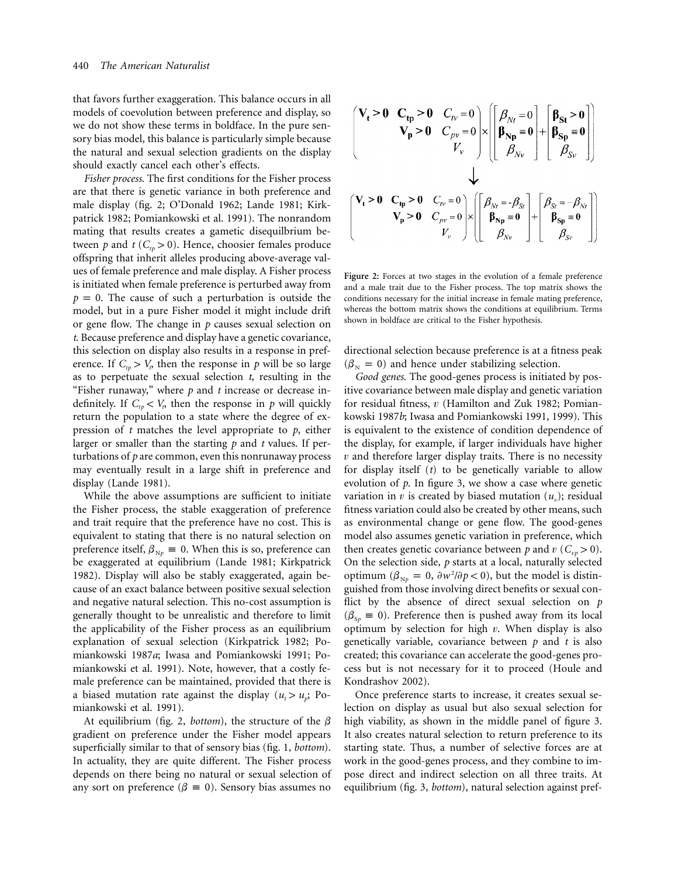that favors further exaggeration. This balance occurs in all models of coevolution between preference and display, so we do not show these terms in boldface. In the pure sensory bias model, this balance is particularly simple because the natural and sexual selection gradients on the display should exactly cancel each other's effects.

*Fisher process*. The first conditions for the Fisher process are that there is genetic variance in both preference and male display (fig. 2; O'Donald 1962; Lande 1981; Kirkpatrick 1982; Pomiankowski et al. 1991). The nonrandom mating that results creates a gametic disequilbrium between *p* and *t* ( $C_{tp} > 0$ ). Hence, choosier females produce offspring that inherit alleles producing above-average values of female preference and male display. A Fisher process is initiated when female preference is perturbed away from  $p = 0$ . The cause of such a perturbation is outside the model, but in a pure Fisher model it might include drift or gene flow. The change in *p* causes sexual selection on *t*. Because preference and display have a genetic covariance, this selection on display also results in a response in preference. If  $C_{tp} > V_p$  then the response in *p* will be so large as to perpetuate the sexual selection *t*, resulting in the "Fisher runaway," where *p* and *t* increase or decrease indefinitely. If  $C_{tp} < V_p$  then the response in *p* will quickly return the population to a state where the degree of expression of *t* matches the level appropriate to *p*, either larger or smaller than the starting *p* and *t* values. If perturbations of *p* are common, even this nonrunaway process may eventually result in a large shift in preference and display (Lande 1981).

While the above assumptions are sufficient to initiate the Fisher process, the stable exaggeration of preference and trait require that the preference have no cost. This is equivalent to stating that there is no natural selection on preference itself,  $\beta_{Np} \equiv 0$ . When this is so, preference can be exaggerated at equilibrium (Lande 1981; Kirkpatrick 1982). Display will also be stably exaggerated, again because of an exact balance between positive sexual selection and negative natural selection. This no-cost assumption is generally thought to be unrealistic and therefore to limit the applicability of the Fisher process as an equilibrium explanation of sexual selection (Kirkpatrick 1982; Pomiankowski 1987*a*; Iwasa and Pomiankowski 1991; Pomiankowski et al. 1991). Note, however, that a costly female preference can be maintained, provided that there is a biased mutation rate against the display  $(u_t > u_p;$  Pomiankowski et al. 1991).

At equilibrium (fig. 2, *bottom*), the structure of the  $\beta$ gradient on preference under the Fisher model appears superficially similar to that of sensory bias (fig. 1, *bottom*). In actuality, they are quite different. The Fisher process depends on there being no natural or sexual selection of any sort on preference ( $\beta = 0$ ). Sensory bias assumes no

$$
\begin{pmatrix}\n\mathbf{V}_{\mathbf{t}} > \mathbf{0} & \mathbf{C}_{\mathbf{tp}} > \mathbf{0} & \mathbf{C}_{\mathit{IV}} = 0 \\
\mathbf{V}_{\mathbf{p}} > \mathbf{0} & \mathbf{C}_{\mathit{pv}} = 0 \\
\mathbf{V}_{\mathbf{v}} > \mathbf{0} & \mathbf{C}_{\mathit{pv}} = 0\n\end{pmatrix}\n\times\n\begin{bmatrix}\n\boldsymbol{\beta}_{Nt} = 0 \\
\boldsymbol{\beta}_{\mathbf{Np}} = 0 \\
\boldsymbol{\beta}_{Nv}\n\end{bmatrix}\n+\n\begin{bmatrix}\n\boldsymbol{\beta}_{\mathbf{S}\mathbf{t}} > \mathbf{0} \\
\boldsymbol{\beta}_{\mathbf{S}\mathbf{p}} = 0 \\
\boldsymbol{\beta}_{\mathbf{S}\mathbf{v}}\n\end{bmatrix}
$$
\n
$$
\mathbf{V}_{\mathbf{t}} > \mathbf{0} & \mathbf{C}_{\mathbf{tp}} = 0 & \mathbf{C}_{\mathit{IV}} = 0 \\
\mathbf{V}_{\mathbf{p}} > \mathbf{0} & \mathbf{C}_{\mathit{pv}} = 0 \\
\mathbf{V}_{\mathbf{v}} > \mathbf{0} & \mathbf{C}_{\mathit{pv}} = 0\n\end{pmatrix}\n\times\n\begin{bmatrix}\n\boldsymbol{\beta}_{Nt} = -\boldsymbol{\beta}_{\mathit{S}t} \\
\boldsymbol{\beta}_{Nt} = -\boldsymbol{\beta}_{\mathit{S}t} \\
\boldsymbol{\beta}_{\mathbf{S}\mathbf{p}} = \mathbf{0} \\
\boldsymbol{\beta}_{\mathbf{S}\mathbf{p}} = \mathbf{0}\n\end{bmatrix}
$$

**Figure 2:** Forces at two stages in the evolution of a female preference and a male trait due to the Fisher process. The top matrix shows the conditions necessary for the initial increase in female mating preference, whereas the bottom matrix shows the conditions at equilibrium. Terms shown in boldface are critical to the Fisher hypothesis.

directional selection because preference is at a fitness peak  $(\beta_{N} = 0)$  and hence under stabilizing selection.

*Good genes*. The good-genes process is initiated by positive covariance between male display and genetic variation for residual fitness,  $v$  (Hamilton and Zuk 1982; Pomiankowski 1987*b*; Iwasa and Pomiankowski 1991, 1999). This is equivalent to the existence of condition dependence of the display, for example, if larger individuals have higher *v* and therefore larger display traits. There is no necessity for display itself (*t*) to be genetically variable to allow evolution of *p*. In figure 3, we show a case where genetic variation in v is created by biased mutation  $(u_n)$ ; residual fitness variation could also be created by other means, such as environmental change or gene flow. The good-genes model also assumes genetic variation in preference, which then creates genetic covariance between *p* and *v* ( $C_{np} > 0$ ). On the selection side, *p* starts at a local, naturally selected optimum ( $\beta_{Np} = 0$ ,  $\partial w^2 / \partial p < 0$ ), but the model is distinguished from those involving direct benefits or sexual conflict by the absence of direct sexual selection on *p*  $(\beta_{\rm Sp} \equiv 0)$ . Preference then is pushed away from its local optimum by selection for high  $v$ . When display is also genetically variable, covariance between *p* and *t* is also created; this covariance can accelerate the good-genes process but is not necessary for it to proceed (Houle and Kondrashov 2002).

Once preference starts to increase, it creates sexual selection on display as usual but also sexual selection for high viability, as shown in the middle panel of figure 3. It also creates natural selection to return preference to its starting state. Thus, a number of selective forces are at work in the good-genes process, and they combine to impose direct and indirect selection on all three traits. At equilibrium (fig. 3, *bottom*), natural selection against pref-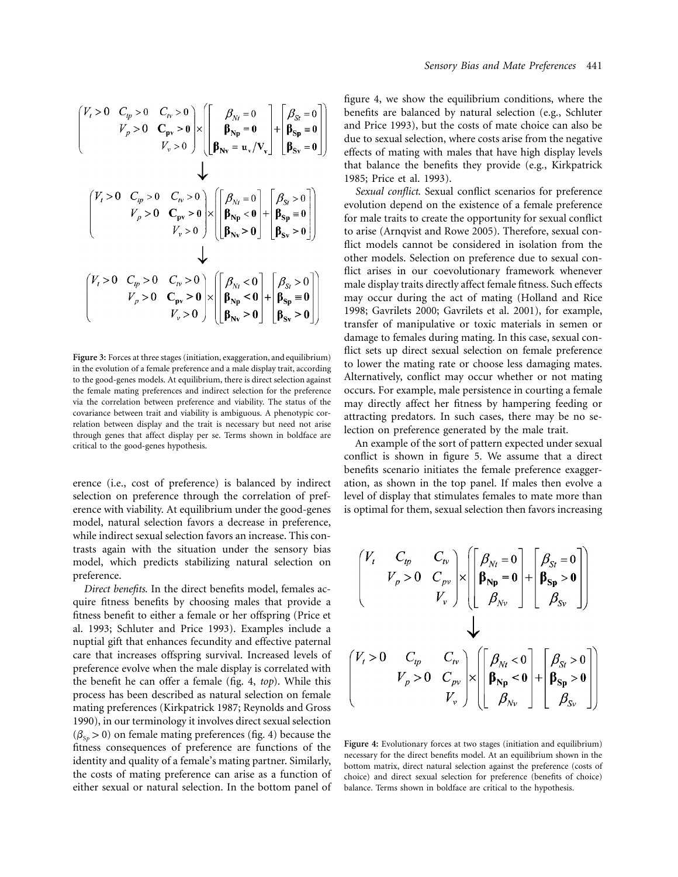$$
\begin{pmatrix}\nV_t > 0 & C_{tp} > 0 & C_{tv} > 0 \\
V_p > 0 & C_{pv} > 0 & \times \\
V_v > 0 & \end{pmatrix}\n\times\n\begin{pmatrix}\n\beta_{Nt} = 0 \\
\beta_{Np} = 0 \\
\beta_{Nv} = u_v / V_v\n\end{pmatrix}\n+\n\begin{pmatrix}\n\beta_{St} = 0 \\
\beta_{Sp} = 0 \\
\beta_{Sp} = 0\n\end{pmatrix}
$$
\n
$$
\begin{pmatrix}\nV_t > 0 & C_{tp} > 0 & C_{tv} > 0 \\
V_p > 0 & C_{pv} > 0 \\
V_v > 0 & \end{pmatrix}\n\times\n\begin{pmatrix}\n\beta_{Nt} = 0 \\
\beta_{Np} = 0 \\
\beta_{Np} < 0\n\end{pmatrix}\n+\n\begin{pmatrix}\n\beta_{St} > 0 \\
\beta_{Sp} = 0 \\
\beta_{Sp} > 0\n\end{pmatrix}
$$
\n
$$
\begin{pmatrix}\nV_t > 0 & C_{tp} > 0 & C_{tv} > 0 \\
V_p > 0 & C_{pv} > 0 \\
V_v > 0 & \end{pmatrix}\n\times\n\begin{pmatrix}\n\beta_{Nt} < 0 \\
\beta_{Np} < 0 \\
\beta_{Np} < 0 \\
\beta_{Nv} > 0\n\end{pmatrix}\n+\n\begin{pmatrix}\n\beta_{St} > 0 \\
\beta_{Sp} = 0 \\
\beta_{Sp} = 0 \\
\beta_{Sp} > 0\n\end{pmatrix}
$$

Figure 3: Forces at three stages (initiation, exaggeration, and equilibrium) in the evolution of a female preference and a male display trait, according to the good-genes models. At equilibrium, there is direct selection against the female mating preferences and indirect selection for the preference via the correlation between preference and viability. The status of the covariance between trait and viability is ambiguous. A phenotypic correlation between display and the trait is necessary but need not arise through genes that affect display per se. Terms shown in boldface are critical to the good-genes hypothesis.

erence (i.e., cost of preference) is balanced by indirect selection on preference through the correlation of preference with viability. At equilibrium under the good-genes model, natural selection favors a decrease in preference, while indirect sexual selection favors an increase. This contrasts again with the situation under the sensory bias model, which predicts stabilizing natural selection on preference.

*Direct benefits*. In the direct benefits model, females acquire fitness benefits by choosing males that provide a fitness benefit to either a female or her offspring (Price et al. 1993; Schluter and Price 1993). Examples include a nuptial gift that enhances fecundity and effective paternal care that increases offspring survival. Increased levels of preference evolve when the male display is correlated with the benefit he can offer a female (fig. 4, *top*). While this process has been described as natural selection on female mating preferences (Kirkpatrick 1987; Reynolds and Gross 1990), in our terminology it involves direct sexual selection  $(\beta_{\rm s_0} > 0)$  on female mating preferences (fig. 4) because the fitness consequences of preference are functions of the identity and quality of a female's mating partner. Similarly, the costs of mating preference can arise as a function of either sexual or natural selection. In the bottom panel of

figure 4, we show the equilibrium conditions, where the benefits are balanced by natural selection (e.g., Schluter and Price 1993), but the costs of mate choice can also be due to sexual selection, where costs arise from the negative effects of mating with males that have high display levels that balance the benefits they provide (e.g., Kirkpatrick 1985; Price et al. 1993).

*Sexual conflict*. Sexual conflict scenarios for preference evolution depend on the existence of a female preference for male traits to create the opportunity for sexual conflict to arise (Arnqvist and Rowe 2005). Therefore, sexual conflict models cannot be considered in isolation from the other models. Selection on preference due to sexual conflict arises in our coevolutionary framework whenever male display traits directly affect female fitness. Such effects may occur during the act of mating (Holland and Rice 1998; Gavrilets 2000; Gavrilets et al. 2001), for example, transfer of manipulative or toxic materials in semen or damage to females during mating. In this case, sexual conflict sets up direct sexual selection on female preference to lower the mating rate or choose less damaging mates. Alternatively, conflict may occur whether or not mating occurs. For example, male persistence in courting a female may directly affect her fitness by hampering feeding or attracting predators. In such cases, there may be no selection on preference generated by the male trait.

An example of the sort of pattern expected under sexual conflict is shown in figure 5. We assume that a direct benefits scenario initiates the female preference exaggeration, as shown in the top panel. If males then evolve a level of display that stimulates females to mate more than is optimal for them, sexual selection then favors increasing

$$
\begin{pmatrix}\nV_t & C_{tp} & C_{tv} \\
V_p > 0 & C_{pv} \\
V_v\n\end{pmatrix}\n\times\n\begin{pmatrix}\n\beta_{Nt} = 0 \\
\beta_{Np} = 0 \\
\beta_{Sv}\n\end{pmatrix}\n+\n\begin{pmatrix}\n\beta_{St} = 0 \\
\beta_{Sp} > 0 \\
\beta_{Sp}\n\end{pmatrix}
$$
\n
$$
\n\times\n\begin{pmatrix}\nV_t > 0 & C_{tp} & C_{tv} \\
V_p > 0 & C_{pv} \\
V_v\n\end{pmatrix}\n\times\n\begin{pmatrix}\n\beta_{Nt} < 0 \\
\beta_{Np} < 0 \\
\beta_{Np}\n\end{pmatrix}\n+\n\begin{pmatrix}\n\beta_{St} > 0 \\
\beta_{Sp} > 0 \\
\beta_{Sp}\n\end{pmatrix}
$$

Figure 4: Evolutionary forces at two stages (initiation and equilibrium) necessary for the direct benefits model. At an equilibrium shown in the bottom matrix, direct natural selection against the preference (costs of choice) and direct sexual selection for preference (benefits of choice) balance. Terms shown in boldface are critical to the hypothesis.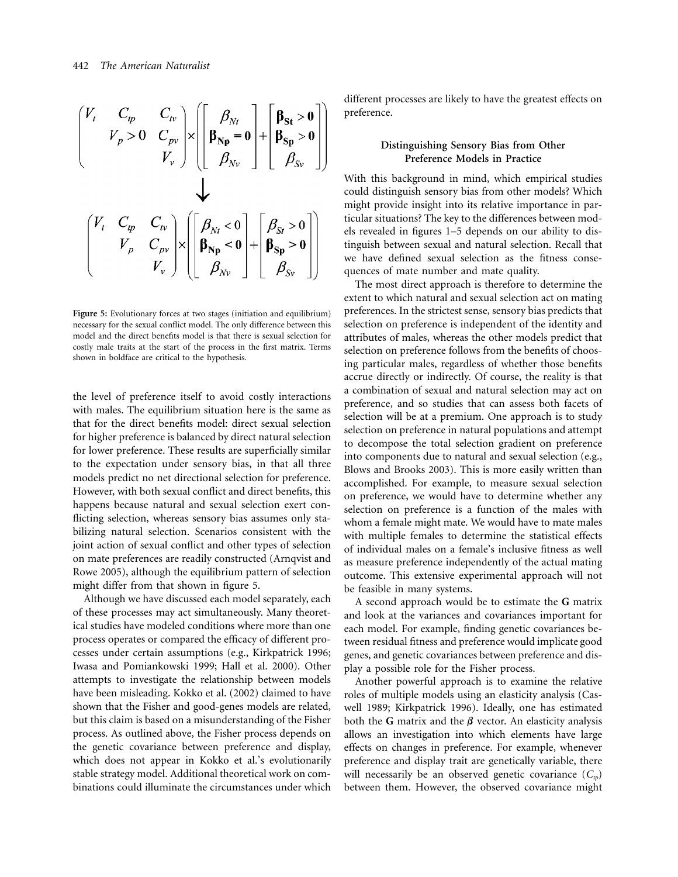$$
\begin{pmatrix}\nV_t & C_{tp} & C_{tv} \\
V_p > 0 & C_{pv} \\
V_v\n\end{pmatrix}\n\times\n\begin{pmatrix}\n\boldsymbol{\beta}_{Nt} \\
\boldsymbol{\beta}_{Np} = 0 \\
\boldsymbol{\beta}_{Sv}\n\end{pmatrix}\n+\n\begin{pmatrix}\n\boldsymbol{\beta}_{St} > 0 \\
\boldsymbol{\beta}_{Sp} > 0 \\
\boldsymbol{\beta}_{Sv}\n\end{pmatrix}
$$
\n
$$
\begin{pmatrix}\nV_t & C_{tp} & C_{tv} \\
V_p & C_{pv} \\
V_v\n\end{pmatrix}\n\times\n\begin{pmatrix}\n\boldsymbol{\beta}_{Nt} < 0 \\
\boldsymbol{\beta}_{Np} < 0 \\
\boldsymbol{\beta}_{Nv}\n\end{pmatrix}\n+\n\begin{pmatrix}\n\boldsymbol{\beta}_{St} > 0 \\
\boldsymbol{\beta}_{Sp} > 0 \\
\boldsymbol{\beta}_{Sp} > 0 \\
\boldsymbol{\beta}_{Sp}\n\end{pmatrix}
$$

Figure 5: Evolutionary forces at two stages (initiation and equilibrium) necessary for the sexual conflict model. The only difference between this model and the direct benefits model is that there is sexual selection for costly male traits at the start of the process in the first matrix. Terms shown in boldface are critical to the hypothesis.

the level of preference itself to avoid costly interactions with males. The equilibrium situation here is the same as that for the direct benefits model: direct sexual selection for higher preference is balanced by direct natural selection for lower preference. These results are superficially similar to the expectation under sensory bias, in that all three models predict no net directional selection for preference. However, with both sexual conflict and direct benefits, this happens because natural and sexual selection exert conflicting selection, whereas sensory bias assumes only stabilizing natural selection. Scenarios consistent with the joint action of sexual conflict and other types of selection on mate preferences are readily constructed (Arnqvist and Rowe 2005), although the equilibrium pattern of selection might differ from that shown in figure 5.

Although we have discussed each model separately, each of these processes may act simultaneously. Many theoretical studies have modeled conditions where more than one process operates or compared the efficacy of different processes under certain assumptions (e.g., Kirkpatrick 1996; Iwasa and Pomiankowski 1999; Hall et al. 2000). Other attempts to investigate the relationship between models have been misleading. Kokko et al. (2002) claimed to have shown that the Fisher and good-genes models are related, but this claim is based on a misunderstanding of the Fisher process. As outlined above, the Fisher process depends on the genetic covariance between preference and display, which does not appear in Kokko et al.'s evolutionarily stable strategy model. Additional theoretical work on combinations could illuminate the circumstances under which

different processes are likely to have the greatest effects on preference.

## **Distinguishing Sensory Bias from Other Preference Models in Practice**

With this background in mind, which empirical studies could distinguish sensory bias from other models? Which might provide insight into its relative importance in particular situations? The key to the differences between models revealed in figures 1–5 depends on our ability to distinguish between sexual and natural selection. Recall that we have defined sexual selection as the fitness consequences of mate number and mate quality.

The most direct approach is therefore to determine the extent to which natural and sexual selection act on mating preferences. In the strictest sense, sensory bias predicts that selection on preference is independent of the identity and attributes of males, whereas the other models predict that selection on preference follows from the benefits of choosing particular males, regardless of whether those benefits accrue directly or indirectly. Of course, the reality is that a combination of sexual and natural selection may act on preference, and so studies that can assess both facets of selection will be at a premium. One approach is to study selection on preference in natural populations and attempt to decompose the total selection gradient on preference into components due to natural and sexual selection (e.g., Blows and Brooks 2003). This is more easily written than accomplished. For example, to measure sexual selection on preference, we would have to determine whether any selection on preference is a function of the males with whom a female might mate. We would have to mate males with multiple females to determine the statistical effects of individual males on a female's inclusive fitness as well as measure preference independently of the actual mating outcome. This extensive experimental approach will not be feasible in many systems.

A second approach would be to estimate the **G** matrix and look at the variances and covariances important for each model. For example, finding genetic covariances between residual fitness and preference would implicate good genes, and genetic covariances between preference and display a possible role for the Fisher process.

Another powerful approach is to examine the relative roles of multiple models using an elasticity analysis (Caswell 1989; Kirkpatrick 1996). Ideally, one has estimated both the **G** matrix and the  $\beta$  vector. An elasticity analysis allows an investigation into which elements have large effects on changes in preference. For example, whenever preference and display trait are genetically variable, there will necessarily be an observed genetic covariance  $(C<sub>n</sub>)$ between them. However, the observed covariance might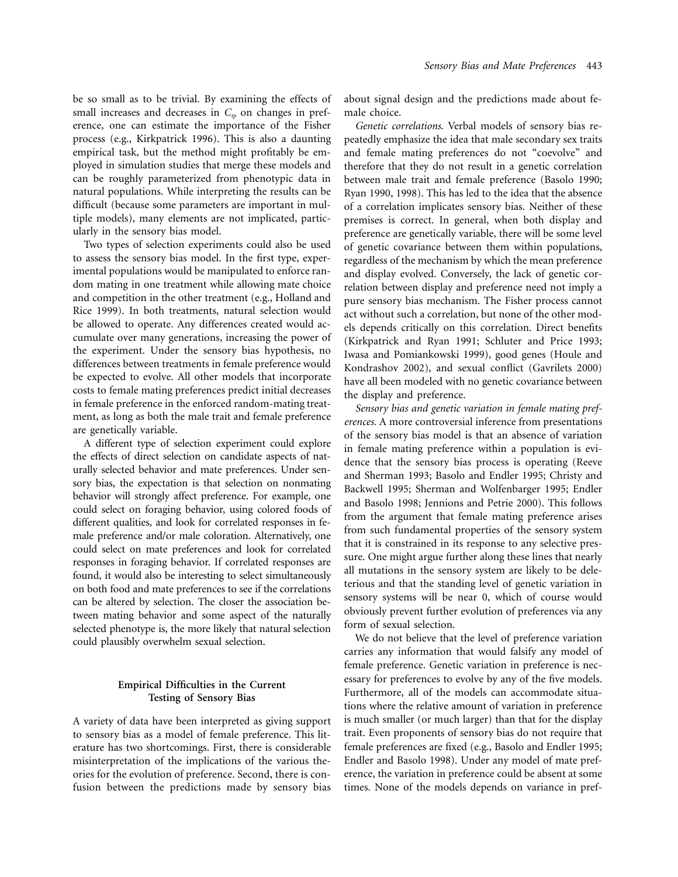be so small as to be trivial. By examining the effects of small increases and decreases in  $C_{tp}$  on changes in preference, one can estimate the importance of the Fisher process (e.g., Kirkpatrick 1996). This is also a daunting empirical task, but the method might profitably be employed in simulation studies that merge these models and can be roughly parameterized from phenotypic data in natural populations. While interpreting the results can be difficult (because some parameters are important in multiple models), many elements are not implicated, particularly in the sensory bias model.

Two types of selection experiments could also be used to assess the sensory bias model. In the first type, experimental populations would be manipulated to enforce random mating in one treatment while allowing mate choice and competition in the other treatment (e.g., Holland and Rice 1999). In both treatments, natural selection would be allowed to operate. Any differences created would accumulate over many generations, increasing the power of the experiment. Under the sensory bias hypothesis, no differences between treatments in female preference would be expected to evolve. All other models that incorporate costs to female mating preferences predict initial decreases in female preference in the enforced random-mating treatment, as long as both the male trait and female preference are genetically variable.

A different type of selection experiment could explore the effects of direct selection on candidate aspects of naturally selected behavior and mate preferences. Under sensory bias, the expectation is that selection on nonmating behavior will strongly affect preference. For example, one could select on foraging behavior, using colored foods of different qualities, and look for correlated responses in female preference and/or male coloration. Alternatively, one could select on mate preferences and look for correlated responses in foraging behavior. If correlated responses are found, it would also be interesting to select simultaneously on both food and mate preferences to see if the correlations can be altered by selection. The closer the association between mating behavior and some aspect of the naturally selected phenotype is, the more likely that natural selection could plausibly overwhelm sexual selection.

## **Empirical Difficulties in the Current Testing of Sensory Bias**

A variety of data have been interpreted as giving support to sensory bias as a model of female preference. This literature has two shortcomings. First, there is considerable misinterpretation of the implications of the various theories for the evolution of preference. Second, there is confusion between the predictions made by sensory bias

about signal design and the predictions made about female choice.

*Genetic correlations*. Verbal models of sensory bias repeatedly emphasize the idea that male secondary sex traits and female mating preferences do not "coevolve" and therefore that they do not result in a genetic correlation between male trait and female preference (Basolo 1990; Ryan 1990, 1998). This has led to the idea that the absence of a correlation implicates sensory bias. Neither of these premises is correct. In general, when both display and preference are genetically variable, there will be some level of genetic covariance between them within populations, regardless of the mechanism by which the mean preference and display evolved. Conversely, the lack of genetic correlation between display and preference need not imply a pure sensory bias mechanism. The Fisher process cannot act without such a correlation, but none of the other models depends critically on this correlation. Direct benefits (Kirkpatrick and Ryan 1991; Schluter and Price 1993; Iwasa and Pomiankowski 1999), good genes (Houle and Kondrashov 2002), and sexual conflict (Gavrilets 2000) have all been modeled with no genetic covariance between the display and preference.

*Sensory bias and genetic variation in female mating preferences*. A more controversial inference from presentations of the sensory bias model is that an absence of variation in female mating preference within a population is evidence that the sensory bias process is operating (Reeve and Sherman 1993; Basolo and Endler 1995; Christy and Backwell 1995; Sherman and Wolfenbarger 1995; Endler and Basolo 1998; Jennions and Petrie 2000). This follows from the argument that female mating preference arises from such fundamental properties of the sensory system that it is constrained in its response to any selective pressure. One might argue further along these lines that nearly all mutations in the sensory system are likely to be deleterious and that the standing level of genetic variation in sensory systems will be near 0, which of course would obviously prevent further evolution of preferences via any form of sexual selection.

We do not believe that the level of preference variation carries any information that would falsify any model of female preference. Genetic variation in preference is necessary for preferences to evolve by any of the five models. Furthermore, all of the models can accommodate situations where the relative amount of variation in preference is much smaller (or much larger) than that for the display trait. Even proponents of sensory bias do not require that female preferences are fixed (e.g., Basolo and Endler 1995; Endler and Basolo 1998). Under any model of mate preference, the variation in preference could be absent at some times. None of the models depends on variance in pref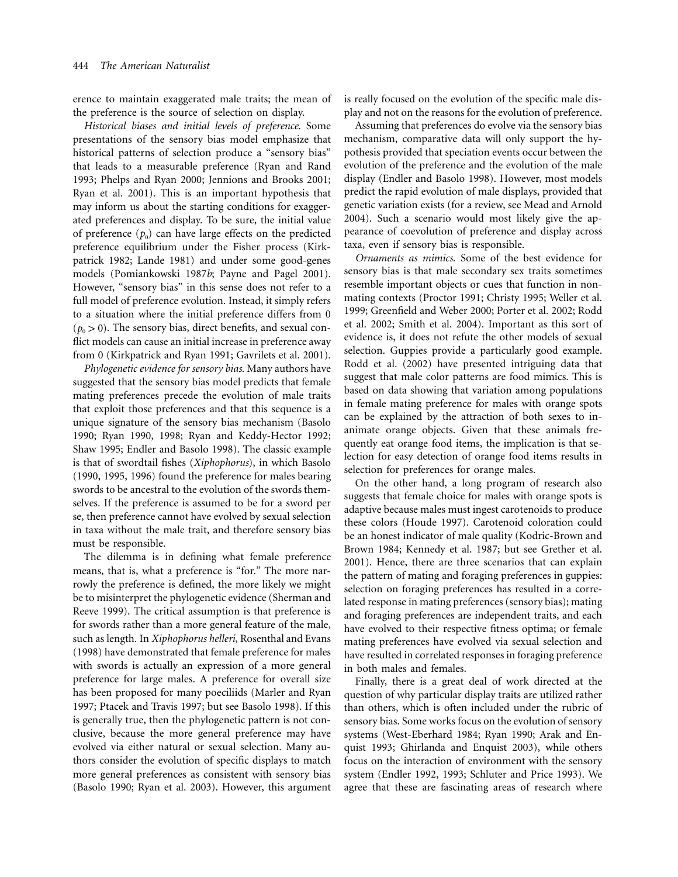erence to maintain exaggerated male traits; the mean of the preference is the source of selection on display.

*Historical biases and initial levels of preference*. Some presentations of the sensory bias model emphasize that historical patterns of selection produce a "sensory bias" that leads to a measurable preference (Ryan and Rand 1993; Phelps and Ryan 2000; Jennions and Brooks 2001; Ryan et al. 2001). This is an important hypothesis that may inform us about the starting conditions for exaggerated preferences and display. To be sure, the initial value of preference  $(p_0)$  can have large effects on the predicted preference equilibrium under the Fisher process (Kirkpatrick 1982; Lande 1981) and under some good-genes models (Pomiankowski 1987*b*; Payne and Pagel 2001). However, "sensory bias" in this sense does not refer to a full model of preference evolution. Instead, it simply refers to a situation where the initial preference differs from 0  $(p_0 > 0)$ . The sensory bias, direct benefits, and sexual conflict models can cause an initial increase in preference away from 0 (Kirkpatrick and Ryan 1991; Gavrilets et al. 2001).

*Phylogenetic evidence for sensory bias*. Many authors have suggested that the sensory bias model predicts that female mating preferences precede the evolution of male traits that exploit those preferences and that this sequence is a unique signature of the sensory bias mechanism (Basolo 1990; Ryan 1990, 1998; Ryan and Keddy-Hector 1992; Shaw 1995; Endler and Basolo 1998). The classic example is that of swordtail fishes (*Xiphophorus*), in which Basolo (1990, 1995, 1996) found the preference for males bearing swords to be ancestral to the evolution of the swords themselves. If the preference is assumed to be for a sword per se, then preference cannot have evolved by sexual selection in taxa without the male trait, and therefore sensory bias must be responsible.

The dilemma is in defining what female preference means, that is, what a preference is "for." The more narrowly the preference is defined, the more likely we might be to misinterpret the phylogenetic evidence (Sherman and Reeve 1999). The critical assumption is that preference is for swords rather than a more general feature of the male, such as length. In *Xiphophorus helleri*, Rosenthal and Evans (1998) have demonstrated that female preference for males with swords is actually an expression of a more general preference for large males. A preference for overall size has been proposed for many poeciliids (Marler and Ryan 1997; Ptacek and Travis 1997; but see Basolo 1998). If this is generally true, then the phylogenetic pattern is not conclusive, because the more general preference may have evolved via either natural or sexual selection. Many authors consider the evolution of specific displays to match more general preferences as consistent with sensory bias (Basolo 1990; Ryan et al. 2003). However, this argument is really focused on the evolution of the specific male display and not on the reasons for the evolution of preference.

Assuming that preferences do evolve via the sensory bias mechanism, comparative data will only support the hypothesis provided that speciation events occur between the evolution of the preference and the evolution of the male display (Endler and Basolo 1998). However, most models predict the rapid evolution of male displays, provided that genetic variation exists (for a review, see Mead and Arnold 2004). Such a scenario would most likely give the appearance of coevolution of preference and display across taxa, even if sensory bias is responsible.

*Ornaments as mimics*. Some of the best evidence for sensory bias is that male secondary sex traits sometimes resemble important objects or cues that function in nonmating contexts (Proctor 1991; Christy 1995; Weller et al. 1999; Greenfield and Weber 2000; Porter et al. 2002; Rodd et al. 2002; Smith et al. 2004). Important as this sort of evidence is, it does not refute the other models of sexual selection. Guppies provide a particularly good example. Rodd et al. (2002) have presented intriguing data that suggest that male color patterns are food mimics. This is based on data showing that variation among populations in female mating preference for males with orange spots can be explained by the attraction of both sexes to inanimate orange objects. Given that these animals frequently eat orange food items, the implication is that selection for easy detection of orange food items results in selection for preferences for orange males.

On the other hand, a long program of research also suggests that female choice for males with orange spots is adaptive because males must ingest carotenoids to produce these colors (Houde 1997). Carotenoid coloration could be an honest indicator of male quality (Kodric-Brown and Brown 1984; Kennedy et al. 1987; but see Grether et al. 2001). Hence, there are three scenarios that can explain the pattern of mating and foraging preferences in guppies: selection on foraging preferences has resulted in a correlated response in mating preferences (sensory bias); mating and foraging preferences are independent traits, and each have evolved to their respective fitness optima; or female mating preferences have evolved via sexual selection and have resulted in correlated responses in foraging preference in both males and females.

Finally, there is a great deal of work directed at the question of why particular display traits are utilized rather than others, which is often included under the rubric of sensory bias. Some works focus on the evolution of sensory systems (West-Eberhard 1984; Ryan 1990; Arak and Enquist 1993; Ghirlanda and Enquist 2003), while others focus on the interaction of environment with the sensory system (Endler 1992, 1993; Schluter and Price 1993). We agree that these are fascinating areas of research where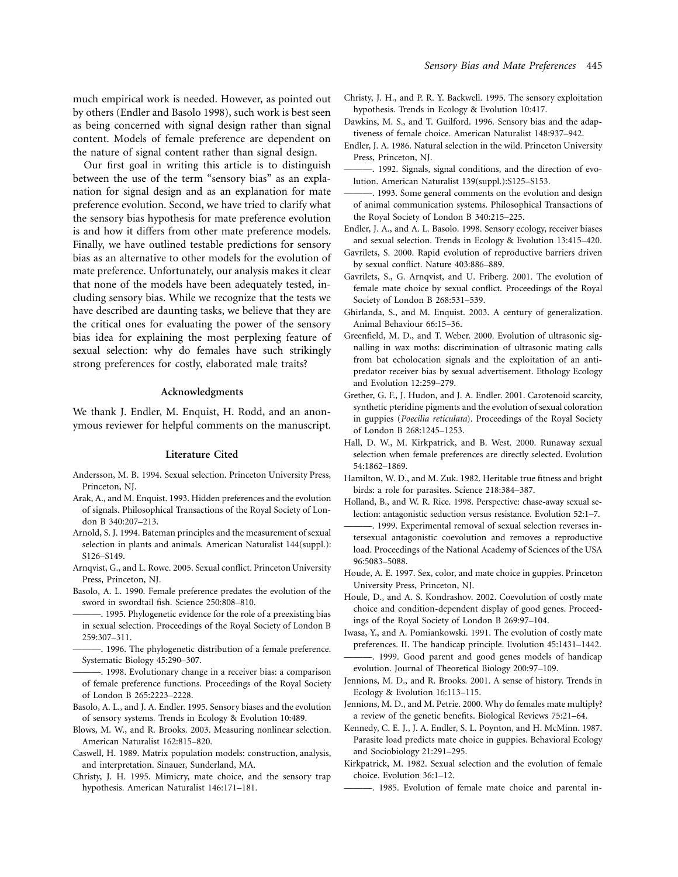much empirical work is needed. However, as pointed out by others (Endler and Basolo 1998), such work is best seen as being concerned with signal design rather than signal content. Models of female preference are dependent on the nature of signal content rather than signal design.

Our first goal in writing this article is to distinguish between the use of the term "sensory bias" as an explanation for signal design and as an explanation for mate preference evolution. Second, we have tried to clarify what the sensory bias hypothesis for mate preference evolution is and how it differs from other mate preference models. Finally, we have outlined testable predictions for sensory bias as an alternative to other models for the evolution of mate preference. Unfortunately, our analysis makes it clear that none of the models have been adequately tested, including sensory bias. While we recognize that the tests we have described are daunting tasks, we believe that they are the critical ones for evaluating the power of the sensory bias idea for explaining the most perplexing feature of sexual selection: why do females have such strikingly strong preferences for costly, elaborated male traits?

#### **Acknowledgments**

We thank J. Endler, M. Enquist, H. Rodd, and an anonymous reviewer for helpful comments on the manuscript.

#### **Literature Cited**

- Andersson, M. B. 1994. Sexual selection. Princeton University Press, Princeton, NJ.
- Arak, A., and M. Enquist. 1993. Hidden preferences and the evolution of signals. Philosophical Transactions of the Royal Society of London B 340:207–213.
- Arnold, S. J. 1994. Bateman principles and the measurement of sexual selection in plants and animals. American Naturalist 144(suppl.): S126–S149.
- Arnqvist, G., and L. Rowe. 2005. Sexual conflict. Princeton University Press, Princeton, NJ.
- Basolo, A. L. 1990. Female preference predates the evolution of the sword in swordtail fish. Science 250:808–810.
- -. 1995. Phylogenetic evidence for the role of a preexisting bias in sexual selection. Proceedings of the Royal Society of London B 259:307–311.
- -. 1996. The phylogenetic distribution of a female preference. Systematic Biology 45:290–307.
- -. 1998. Evolutionary change in a receiver bias: a comparison of female preference functions. Proceedings of the Royal Society of London B 265:2223–2228.
- Basolo, A. L., and J. A. Endler. 1995. Sensory biases and the evolution of sensory systems. Trends in Ecology & Evolution 10:489.
- Blows, M. W., and R. Brooks. 2003. Measuring nonlinear selection. American Naturalist 162:815–820.
- Caswell, H. 1989. Matrix population models: construction, analysis, and interpretation. Sinauer, Sunderland, MA.
- Christy, J. H. 1995. Mimicry, mate choice, and the sensory trap hypothesis. American Naturalist 146:171–181.
- Christy, J. H., and P. R. Y. Backwell. 1995. The sensory exploitation hypothesis. Trends in Ecology & Evolution 10:417.
- Dawkins, M. S., and T. Guilford. 1996. Sensory bias and the adaptiveness of female choice. American Naturalist 148:937–942.
- Endler, J. A. 1986. Natural selection in the wild. Princeton University Press, Princeton, NJ.
- -. 1992. Signals, signal conditions, and the direction of evolution. American Naturalist 139(suppl.):S125–S153.
- -. 1993. Some general comments on the evolution and design of animal communication systems. Philosophical Transactions of the Royal Society of London B 340:215–225.
- Endler, J. A., and A. L. Basolo. 1998. Sensory ecology, receiver biases and sexual selection. Trends in Ecology & Evolution 13:415–420.
- Gavrilets, S. 2000. Rapid evolution of reproductive barriers driven by sexual conflict. Nature 403:886–889.
- Gavrilets, S., G. Arnqvist, and U. Friberg. 2001. The evolution of female mate choice by sexual conflict. Proceedings of the Royal Society of London B 268:531–539.
- Ghirlanda, S., and M. Enquist. 2003. A century of generalization. Animal Behaviour 66:15–36.
- Greenfield, M. D., and T. Weber. 2000. Evolution of ultrasonic signalling in wax moths: discrimination of ultrasonic mating calls from bat echolocation signals and the exploitation of an antipredator receiver bias by sexual advertisement. Ethology Ecology and Evolution 12:259–279.
- Grether, G. F., J. Hudon, and J. A. Endler. 2001. Carotenoid scarcity, synthetic pteridine pigments and the evolution of sexual coloration in guppies (*Poecilia reticulata*). Proceedings of the Royal Society of London B 268:1245–1253.
- Hall, D. W., M. Kirkpatrick, and B. West. 2000. Runaway sexual selection when female preferences are directly selected. Evolution 54:1862–1869.
- Hamilton, W. D., and M. Zuk. 1982. Heritable true fitness and bright birds: a role for parasites. Science 218:384–387.
- Holland, B., and W. R. Rice. 1998. Perspective: chase-away sexual selection: antagonistic seduction versus resistance. Evolution 52:1–7.
- -. 1999. Experimental removal of sexual selection reverses intersexual antagonistic coevolution and removes a reproductive load. Proceedings of the National Academy of Sciences of the USA 96:5083–5088.
- Houde, A. E. 1997. Sex, color, and mate choice in guppies. Princeton University Press, Princeton, NJ.
- Houle, D., and A. S. Kondrashov. 2002. Coevolution of costly mate choice and condition-dependent display of good genes. Proceedings of the Royal Society of London B 269:97–104.
- Iwasa, Y., and A. Pomiankowski. 1991. The evolution of costly mate preferences. II. The handicap principle. Evolution 45:1431–1442.
- -. 1999. Good parent and good genes models of handicap evolution. Journal of Theoretical Biology 200:97–109.
- Jennions, M. D., and R. Brooks. 2001. A sense of history. Trends in Ecology & Evolution 16:113–115.
- Jennions, M. D., and M. Petrie. 2000. Why do females mate multiply? a review of the genetic benefits. Biological Reviews 75:21–64.
- Kennedy, C. E. J., J. A. Endler, S. L. Poynton, and H. McMinn. 1987. Parasite load predicts mate choice in guppies. Behavioral Ecology and Sociobiology 21:291–295.
- Kirkpatrick, M. 1982. Sexual selection and the evolution of female choice. Evolution 36:1–12.
	- ———. 1985. Evolution of female mate choice and parental in-